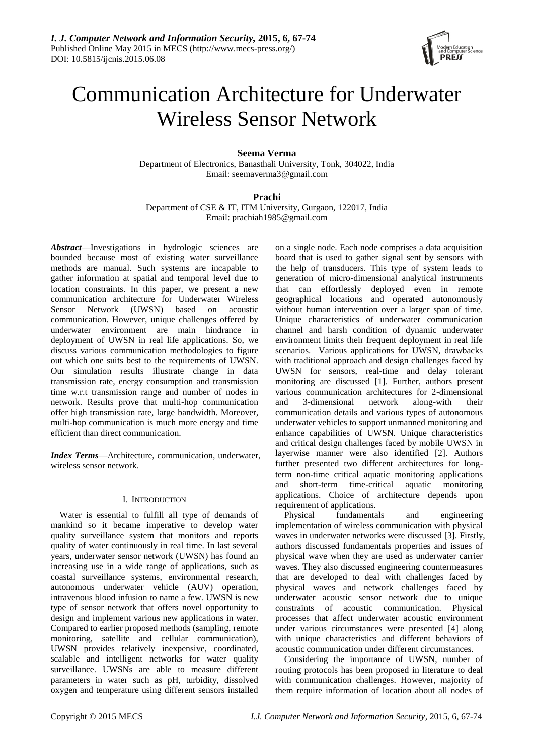

# Communication Architecture for Underwater Wireless Sensor Network

# **Seema Verma**

Department of Electronics, Banasthali University, Tonk, 304022, India Email: seemaverma3@gmail.com

# **Prachi**

Department of CSE & IT, ITM University, Gurgaon, 122017, India Email: prachiah1985@gmail.com

*Abstract*—Investigations in hydrologic sciences are bounded because most of existing water surveillance methods are manual. Such systems are incapable to gather information at spatial and temporal level due to location constraints. In this paper, we present a new communication architecture for Underwater Wireless Sensor Network (UWSN) based on acoustic communication. However, unique challenges offered by underwater environment are main hindrance in deployment of UWSN in real life applications. So, we discuss various communication methodologies to figure out which one suits best to the requirements of UWSN. Our simulation results illustrate change in data transmission rate, energy consumption and transmission time w.r.t transmission range and number of nodes in network. Results prove that multi-hop communication offer high transmission rate, large bandwidth. Moreover, multi-hop communication is much more energy and time efficient than direct communication.

*Index Terms*—Architecture, communication, underwater, wireless sensor network.

## I. INTRODUCTION

Water is essential to fulfill all type of demands of mankind so it became imperative to develop water quality surveillance system that monitors and reports quality of water continuously in real time. In last several years, underwater sensor network (UWSN) has found an increasing use in a wide range of applications, such as coastal surveillance systems, environmental research, autonomous underwater vehicle (AUV) operation, intravenous blood infusion to name a few. UWSN is new type of sensor network that offers novel opportunity to design and implement various new applications in water. Compared to earlier proposed methods (sampling, remote monitoring, satellite and cellular communication), UWSN provides relatively inexpensive, coordinated, scalable and intelligent networks for water quality surveillance. UWSNs are able to measure different parameters in water such as pH, turbidity, dissolved oxygen and temperature using different sensors installed

on a single node. Each node comprises a data acquisition board that is used to gather signal sent by sensors with the help of transducers. This type of system leads to generation of micro-dimensional analytical instruments that can effortlessly deployed even in remote geographical locations and operated autonomously without human intervention over a larger span of time. Unique characteristics of underwater communication channel and harsh condition of dynamic underwater environment limits their frequent deployment in real life scenarios. Various applications for UWSN, drawbacks with traditional approach and design challenges faced by UWSN for sensors, real-time and delay tolerant monitoring are discussed [1]. Further, authors present various communication architectures for 2-dimensional and 3-dimensional network along-with their communication details and various types of autonomous underwater vehicles to support unmanned monitoring and enhance capabilities of UWSN. Unique characteristics and critical design challenges faced by mobile UWSN in layerwise manner were also identified [2]. Authors further presented two different architectures for longterm non-time critical aquatic monitoring applications and short-term time-critical aquatic monitoring applications. Choice of architecture depends upon requirement of applications.

Physical fundamentals and engineering implementation of wireless communication with physical waves in underwater networks were discussed [3]. Firstly, authors discussed fundamentals properties and issues of physical wave when they are used as underwater carrier waves. They also discussed engineering countermeasures that are developed to deal with challenges faced by physical waves and network challenges faced by underwater acoustic sensor network due to unique constraints of acoustic communication. Physical processes that affect underwater acoustic environment under various circumstances were presented [4] along with unique characteristics and different behaviors of acoustic communication under different circumstances.

Considering the importance of UWSN, number of routing protocols has been proposed in literature to deal with communication challenges. However, majority of them require information of location about all nodes of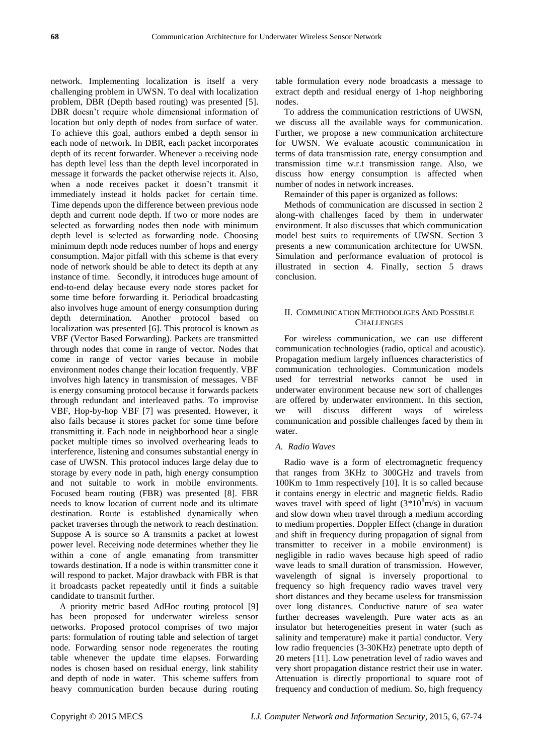network. Implementing localization is itself a very challenging problem in UWSN. To deal with localization problem, DBR (Depth based routing) was presented [5]. DBR doesn't require whole dimensional information of location but only depth of nodes from surface of water. To achieve this goal, authors embed a depth sensor in each node of network. In DBR, each packet incorporates depth of its recent forwarder. Whenever a receiving node has depth level less than the depth level incorporated in message it forwards the packet otherwise rejects it. Also, when a node receives packet it doesn't transmit it immediately instead it holds packet for certain time. Time depends upon the difference between previous node depth and current node depth. If two or more nodes are selected as forwarding nodes then node with minimum depth level is selected as forwarding node. Choosing minimum depth node reduces number of hops and energy consumption. Major pitfall with this scheme is that every node of network should be able to detect its depth at any instance of time. Secondly, it introduces huge amount of end-to-end delay because every node stores packet for some time before forwarding it. Periodical broadcasting also involves huge amount of energy consumption during depth determination. Another protocol based on localization was presented [6]. This protocol is known as VBF (Vector Based Forwarding). Packets are transmitted through nodes that come in range of vector. Nodes that come in range of vector varies because in mobile environment nodes change their location frequently. VBF involves high latency in transmission of messages. VBF is energy consuming protocol because it forwards packets through redundant and interleaved paths. To improvise VBF, Hop-by-hop VBF [7] was presented. However, it also fails because it stores packet for some time before transmitting it. Each node in neighborhood hear a single packet multiple times so involved overhearing leads to interference, listening and consumes substantial energy in case of UWSN. This protocol induces large delay due to storage by every node in path, high energy consumption and not suitable to work in mobile environments. Focused beam routing (FBR) was presented [8]. FBR needs to know location of current node and its ultimate destination. Route is established dynamically when packet traverses through the network to reach destination. Suppose A is source so A transmits a packet at lowest power level. Receiving node determines whether they lie within a cone of angle emanating from transmitter towards destination. If a node is within transmitter cone it will respond to packet. Major drawback with FBR is that it broadcasts packet repeatedly until it finds a suitable candidate to transmit further.

A priority metric based AdHoc routing protocol [9] has been proposed for underwater wireless sensor networks. Proposed protocol comprises of two major parts: formulation of routing table and selection of target node. Forwarding sensor node regenerates the routing table whenever the update time elapses. Forwarding nodes is chosen based on residual energy, link stability and depth of node in water. This scheme suffers from heavy communication burden because during routing

table formulation every node broadcasts a message to extract depth and residual energy of 1-hop neighboring nodes.

To address the communication restrictions of UWSN, we discuss all the available ways for communication. Further, we propose a new communication architecture for UWSN. We evaluate acoustic communication in terms of data transmission rate, energy consumption and transmission time w.r.t transmission range. Also, we discuss how energy consumption is affected when number of nodes in network increases.

Remainder of this paper is organized as follows:

Methods of communication are discussed in section 2 along-with challenges faced by them in underwater environment. It also discusses that which communication model best suits to requirements of UWSN. Section 3 presents a new communication architecture for UWSN. Simulation and performance evaluation of protocol is illustrated in section 4. Finally, section 5 draws conclusion.

## II. COMMUNICATION METHODOLIGES AND POSSIBLE **CHALLENGES**

For wireless communication, we can use different communication technologies (radio, optical and acoustic). Propagation medium largely influences characteristics of communication technologies. Communication models used for terrestrial networks cannot be used in underwater environment because new sort of challenges are offered by underwater environment. In this section, we will discuss different ways of wireless communication and possible challenges faced by them in water.

## *A. Radio Waves*

Radio wave is a form of electromagnetic frequency that ranges from 3KHz to 300GHz and travels from 100Km to 1mm respectively [10]. It is so called because it contains energy in electric and magnetic fields. Radio waves travel with speed of light  $(3*10<sup>8</sup>m/s)$  in vacuum and slow down when travel through a medium according to medium properties. Doppler Effect (change in duration and shift in frequency during propagation of signal from transmitter to receiver in a mobile environment) is negligible in radio waves because high speed of radio wave leads to small duration of transmission. However, wavelength of signal is inversely proportional to frequency so high frequency radio waves travel very short distances and they became useless for transmission over long distances. Conductive nature of sea water further decreases wavelength. Pure water acts as an insulator but heterogeneities present in water (such as salinity and temperature) make it partial conductor. Very low radio frequencies (3-30KHz) penetrate upto depth of 20 meters [11]. Low penetration level of radio waves and very short propagation distance restrict their use in water. Attenuation is directly proportional to square root of frequency and conduction of medium. So, high frequency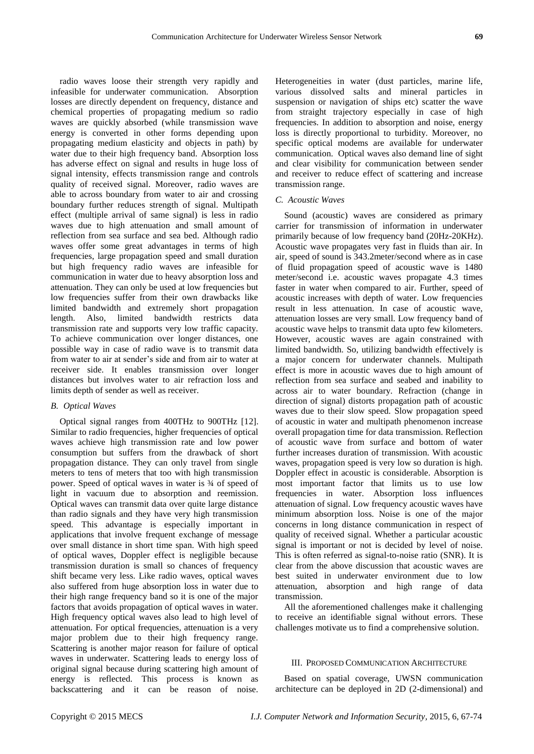radio waves loose their strength very rapidly and infeasible for underwater communication. Absorption losses are directly dependent on frequency, distance and chemical properties of propagating medium so radio waves are quickly absorbed (while transmission wave energy is converted in other forms depending upon propagating medium elasticity and objects in path) by water due to their high frequency band. Absorption loss has adverse effect on signal and results in huge loss of signal intensity, effects transmission range and controls quality of received signal. Moreover, radio waves are able to across boundary from water to air and crossing boundary further reduces strength of signal. Multipath effect (multiple arrival of same signal) is less in radio waves due to high attenuation and small amount of reflection from sea surface and sea bed. Although radio waves offer some great advantages in terms of high frequencies, large propagation speed and small duration but high frequency radio waves are infeasible for communication in water due to heavy absorption loss and attenuation. They can only be used at low frequencies but low frequencies suffer from their own drawbacks like limited bandwidth and extremely short propagation length. Also, limited bandwidth restricts data transmission rate and supports very low traffic capacity. To achieve communication over longer distances, one possible way in case of radio wave is to transmit data from water to air at sender's side and from air to water at receiver side. It enables transmission over longer distances but involves water to air refraction loss and limits depth of sender as well as receiver.

## *B. Optical Waves*

Optical signal ranges from 400THz to 900THz [12]. Similar to radio frequencies, higher frequencies of optical waves achieve high transmission rate and low power consumption but suffers from the drawback of short propagation distance. They can only travel from single meters to tens of meters that too with high transmission power. Speed of optical waves in water is  $\frac{3}{4}$  of speed of light in vacuum due to absorption and reemission. Optical waves can transmit data over quite large distance than radio signals and they have very high transmission speed. This advantage is especially important in applications that involve frequent exchange of message over small distance in short time span. With high speed of optical waves, Doppler effect is negligible because transmission duration is small so chances of frequency shift became very less. Like radio waves, optical waves also suffered from huge absorption loss in water due to their high range frequency band so it is one of the major factors that avoids propagation of optical waves in water. High frequency optical waves also lead to high level of attenuation. For optical frequencies, attenuation is a very major problem due to their high frequency range. Scattering is another major reason for failure of optical waves in underwater. Scattering leads to energy loss of original signal because during scattering high amount of energy is reflected. This process is known as backscattering and it can be reason of noise.

Heterogeneities in water (dust particles, marine life, various dissolved salts and mineral particles in suspension or navigation of ships etc) scatter the wave from straight trajectory especially in case of high frequencies. In addition to absorption and noise, energy loss is directly proportional to turbidity. Moreover, no specific optical modems are available for underwater communication. Optical waves also demand line of sight and clear visibility for communication between sender and receiver to reduce effect of scattering and increase transmission range.

#### *C. Acoustic Waves*

Sound (acoustic) waves are considered as primary carrier for transmission of information in underwater primarily because of low frequency band (20Hz-20KHz). Acoustic wave propagates very fast in fluids than air. In air, speed of sound is 343.2meter/second where as in case of fluid propagation speed of acoustic wave is 1480 meter/second i.e. acoustic waves propagate 4.3 times faster in water when compared to air. Further, speed of acoustic increases with depth of water. Low frequencies result in less attenuation. In case of acoustic wave, attenuation losses are very small. Low frequency band of acoustic wave helps to transmit data upto few kilometers. However, acoustic waves are again constrained with limited bandwidth. So, utilizing bandwidth effectively is a major concern for underwater channels. Multipath effect is more in acoustic waves due to high amount of reflection from sea surface and seabed and inability to across air to water boundary. Refraction (change in direction of signal) distorts propagation path of acoustic waves due to their slow speed. Slow propagation speed of acoustic in water and multipath phenomenon increase overall propagation time for data transmission. Reflection of acoustic wave from surface and bottom of water further increases duration of transmission. With acoustic waves, propagation speed is very low so duration is high. Doppler effect in acoustic is considerable. Absorption is most important factor that limits us to use low frequencies in water. Absorption loss influences attenuation of signal. Low frequency acoustic waves have minimum absorption loss. Noise is one of the major concerns in long distance communication in respect of quality of received signal. Whether a particular acoustic signal is important or not is decided by level of noise. This is often referred as signal-to-noise ratio (SNR). It is clear from the above discussion that acoustic waves are best suited in underwater environment due to low attenuation, absorption and high range of data transmission.

All the aforementioned challenges make it challenging to receive an identifiable signal without errors. These challenges motivate us to find a comprehensive solution.

#### III. PROPOSED COMMUNICATION ARCHITECTURE

Based on spatial coverage, UWSN communication architecture can be deployed in 2D (2-dimensional) and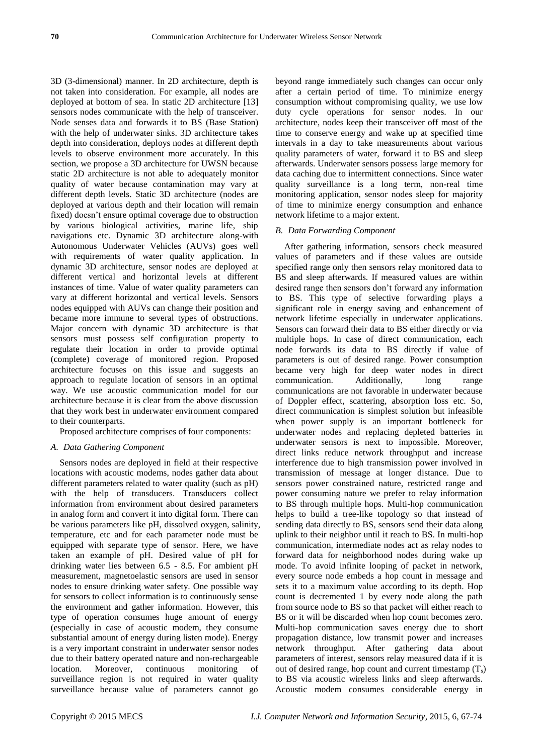3D (3-dimensional) manner. In 2D architecture, depth is not taken into consideration. For example, all nodes are deployed at bottom of sea. In static 2D architecture [13] sensors nodes communicate with the help of transceiver. Node senses data and forwards it to BS (Base Station) with the help of underwater sinks. 3D architecture takes depth into consideration, deploys nodes at different depth levels to observe environment more accurately. In this section, we propose a 3D architecture for UWSN because static 2D architecture is not able to adequately monitor quality of water because contamination may vary at different depth levels. Static 3D architecture (nodes are deployed at various depth and their location will remain fixed) doesn't ensure optimal coverage due to obstruction by various biological activities, marine life, ship navigations etc. Dynamic 3D architecture along-with Autonomous Underwater Vehicles (AUVs) goes well with requirements of water quality application. In dynamic 3D architecture, sensor nodes are deployed at different vertical and horizontal levels at different instances of time. Value of water quality parameters can vary at different horizontal and vertical levels. Sensors nodes equipped with AUVs can change their position and became more immune to several types of obstructions. Major concern with dynamic 3D architecture is that sensors must possess self configuration property to regulate their location in order to provide optimal (complete) coverage of monitored region. Proposed architecture focuses on this issue and suggests an approach to regulate location of sensors in an optimal way. We use acoustic communication model for our architecture because it is clear from the above discussion that they work best in underwater environment compared to their counterparts.

Proposed architecture comprises of four components:

## *A. Data Gathering Component*

Sensors nodes are deployed in field at their respective locations with acoustic modems, nodes gather data about different parameters related to water quality (such as pH) with the help of transducers. Transducers collect information from environment about desired parameters in analog form and convert it into digital form. There can be various parameters like pH, dissolved oxygen, salinity, temperature, etc and for each parameter node must be equipped with separate type of sensor. Here, we have taken an example of pH. Desired value of pH for drinking water lies between 6.5 - 8.5. For ambient pH measurement, magnetoelastic sensors are used in sensor nodes to ensure drinking water safety. One possible way for sensors to collect information is to continuously sense the environment and gather information. However, this type of operation consumes huge amount of energy (especially in case of acoustic modem, they consume substantial amount of energy during listen mode). Energy is a very important constraint in underwater sensor nodes due to their battery operated nature and non-rechargeable location. Moreover, continuous monitoring of surveillance region is not required in water quality surveillance because value of parameters cannot go

beyond range immediately such changes can occur only after a certain period of time. To minimize energy consumption without compromising quality, we use low duty cycle operations for sensor nodes. In our architecture, nodes keep their transceiver off most of the time to conserve energy and wake up at specified time intervals in a day to take measurements about various quality parameters of water, forward it to BS and sleep afterwards. Underwater sensors possess large memory for data caching due to intermittent connections. Since water quality surveillance is a long term, non-real time monitoring application, sensor nodes sleep for majority of time to minimize energy consumption and enhance network lifetime to a major extent.

## *B. Data Forwarding Component*

After gathering information, sensors check measured values of parameters and if these values are outside specified range only then sensors relay monitored data to BS and sleep afterwards. If measured values are within desired range then sensors don't forward any information to BS. This type of selective forwarding plays a significant role in energy saving and enhancement of network lifetime especially in underwater applications. Sensors can forward their data to BS either directly or via multiple hops. In case of direct communication, each node forwards its data to BS directly if value of parameters is out of desired range. Power consumption became very high for deep water nodes in direct communication. Additionally, long range communications are not favorable in underwater because of Doppler effect, scattering, absorption loss etc. So, direct communication is simplest solution but infeasible when power supply is an important bottleneck for underwater nodes and replacing depleted batteries in underwater sensors is next to impossible. Moreover, direct links reduce network throughput and increase interference due to high transmission power involved in transmission of message at longer distance. Due to sensors power constrained nature, restricted range and power consuming nature we prefer to relay information to BS through multiple hops. Multi-hop communication helps to build a tree-like topology so that instead of sending data directly to BS, sensors send their data along uplink to their neighbor until it reach to BS. In multi-hop communication, intermediate nodes act as relay nodes to forward data for neighborhood nodes during wake up mode. To avoid infinite looping of packet in network, every source node embeds a hop count in message and sets it to a maximum value according to its depth. Hop count is decremented 1 by every node along the path from source node to BS so that packet will either reach to BS or it will be discarded when hop count becomes zero. Multi-hop communication saves energy due to short propagation distance, low transmit power and increases network throughput. After gathering data about parameters of interest, sensors relay measured data if it is out of desired range, hop count and current timestamp  $(T<sub>s</sub>)$ to BS via acoustic wireless links and sleep afterwards. Acoustic modem consumes considerable energy in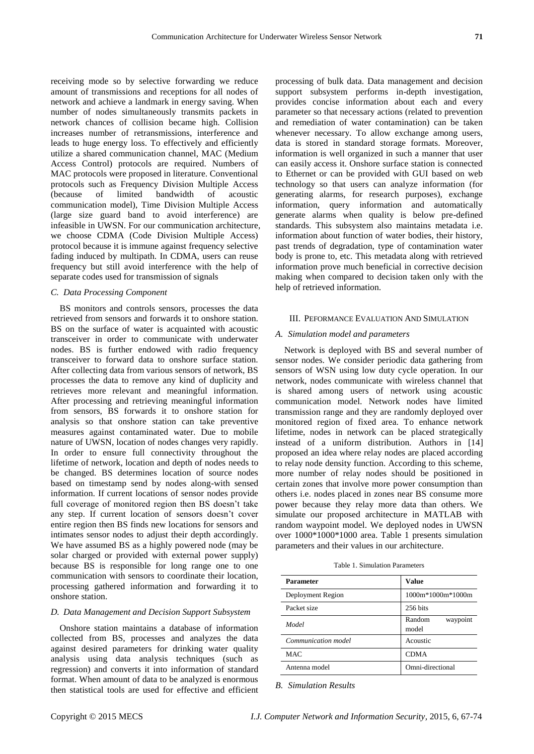receiving mode so by selective forwarding we reduce amount of transmissions and receptions for all nodes of network and achieve a landmark in energy saving. When number of nodes simultaneously transmits packets in network chances of collision became high. Collision increases number of retransmissions, interference and leads to huge energy loss. To effectively and efficiently utilize a shared communication channel, MAC (Medium Access Control) protocols are required. Numbers of MAC protocols were proposed in literature. Conventional protocols such as Frequency Division Multiple Access (because of limited bandwidth of acoustic communication model), Time Division Multiple Access (large size guard band to avoid interference) are infeasible in UWSN. For our communication architecture, we choose CDMA (Code Division Multiple Access) protocol because it is immune against frequency selective fading induced by multipath. In CDMA, users can reuse frequency but still avoid interference with the help of separate codes used for transmission of signals

## *C. Data Processing Component*

BS monitors and controls sensors, processes the data retrieved from sensors and forwards it to onshore station. BS on the surface of water is acquainted with acoustic transceiver in order to communicate with underwater nodes. BS is further endowed with radio frequency transceiver to forward data to onshore surface station. After collecting data from various sensors of network, BS processes the data to remove any kind of duplicity and retrieves more relevant and meaningful information. After processing and retrieving meaningful information from sensors, BS forwards it to onshore station for analysis so that onshore station can take preventive measures against contaminated water. Due to mobile nature of UWSN, location of nodes changes very rapidly. In order to ensure full connectivity throughout the lifetime of network, location and depth of nodes needs to be changed. BS determines location of source nodes based on timestamp send by nodes along-with sensed information. If current locations of sensor nodes provide full coverage of monitored region then BS doesn't take any step. If current location of sensors doesn't cover entire region then BS finds new locations for sensors and intimates sensor nodes to adjust their depth accordingly. We have assumed BS as a highly powered node (may be solar charged or provided with external power supply) because BS is responsible for long range one to one communication with sensors to coordinate their location, processing gathered information and forwarding it to onshore station.

## *D. Data Management and Decision Support Subsystem*

Onshore station maintains a database of information collected from BS, processes and analyzes the data against desired parameters for drinking water quality analysis using data analysis techniques (such as regression) and converts it into information of standard format. When amount of data to be analyzed is enormous then statistical tools are used for effective and efficient

processing of bulk data. Data management and decision support subsystem performs in-depth investigation, provides concise information about each and every parameter so that necessary actions (related to prevention and remediation of water contamination) can be taken whenever necessary. To allow exchange among users, data is stored in standard storage formats. Moreover, information is well organized in such a manner that user can easily access it. Onshore surface station is connected to Ethernet or can be provided with GUI based on web technology so that users can analyze information (for generating alarms, for research purposes), exchange information, query information and automatically generate alarms when quality is below pre-defined standards. This subsystem also maintains metadata i.e. information about function of water bodies, their history, past trends of degradation, type of contamination water body is prone to, etc. This metadata along with retrieved information prove much beneficial in corrective decision making when compared to decision taken only with the help of retrieved information.

## III. PEFORMANCE EVALUATION AND SIMULATION

#### *A. Simulation model and parameters*

Network is deployed with BS and several number of sensor nodes. We consider periodic data gathering from sensors of WSN using low duty cycle operation. In our network, nodes communicate with wireless channel that is shared among users of network using acoustic communication model. Network nodes have limited transmission range and they are randomly deployed over monitored region of fixed area. To enhance network lifetime, nodes in network can be placed strategically instead of a uniform distribution. Authors in [14] proposed an idea where relay nodes are placed according to relay node density function. According to this scheme, more number of relay nodes should be positioned in certain zones that involve more power consumption than others i.e. nodes placed in zones near BS consume more power because they relay more data than others. We simulate our proposed architecture in MATLAB with random waypoint model. We deployed nodes in UWSN over 1000\*1000\*1000 area. Table 1 presents simulation parameters and their values in our architecture.

| Parameter           | Value                       |
|---------------------|-----------------------------|
| Deployment Region   | 1000m*1000m*1000m           |
| Packet size         | 256 bits                    |
| Model               | Random<br>waypoint<br>model |
| Communication model | Acoustic                    |
| <b>MAC</b>          | <b>CDMA</b>                 |
| Antenna model       | Omni-directional            |

*B. Simulation Results*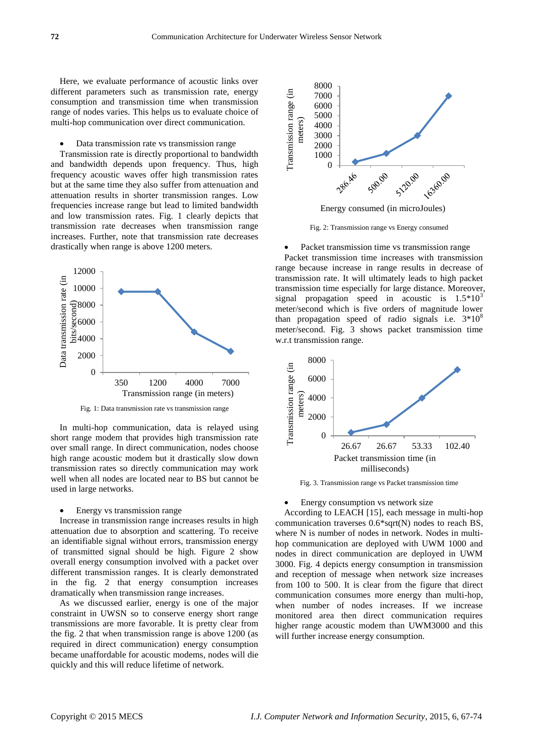Here, we evaluate performance of acoustic links over different parameters such as transmission rate, energy consumption and transmission time when transmission range of nodes varies. This helps us to evaluate choice of multi-hop communication over direct communication.

Data transmission rate vs transmission range

Transmission rate is directly proportional to bandwidth and bandwidth depends upon frequency. Thus, high frequency acoustic waves offer high transmission rates but at the same time they also suffer from attenuation and attenuation results in shorter transmission ranges. Low frequencies increase range but lead to limited bandwidth and low transmission rates. Fig. 1 clearly depicts that transmission rate decreases when transmission range increases. Further, note that transmission rate decreases drastically when range is above 1200 meters.



Fig. 1: Data transmission rate vs transmission range

In multi-hop communication, data is relayed using short range modem that provides high transmission rate over small range. In direct communication, nodes choose high range acoustic modem but it drastically slow down transmission rates so directly communication may work well when all nodes are located near to BS but cannot be used in large networks.

#### Energy vs transmission range

Increase in transmission range increases results in high attenuation due to absorption and scattering. To receive an identifiable signal without errors, transmission energy of transmitted signal should be high. Figure 2 show overall energy consumption involved with a packet over different transmission ranges. It is clearly demonstrated in the fig. 2 that energy consumption increases dramatically when transmission range increases.

As we discussed earlier, energy is one of the major constraint in UWSN so to conserve energy short range transmissions are more favorable. It is pretty clear from the fig. 2 that when transmission range is above 1200 (as required in direct communication) energy consumption became unaffordable for acoustic modems, nodes will die quickly and this will reduce lifetime of network.



Energy consumed (in microJoules)

Fig. 2: Transmission range vs Energy consumed

Packet transmission time vs transmission range

Packet transmission time increases with transmission range because increase in range results in decrease of transmission rate. It will ultimately leads to high packet transmission time especially for large distance. Moreover, signal propagation speed in acoustic is  $1.5*10<sup>3</sup>$ meter/second which is five orders of magnitude lower than propagation speed of radio signals i.e.  $3*10^8$ meter/second. Fig. 3 shows packet transmission time w.r.t transmission range.



Fig. 3. Transmission range vs Packet transmission time

#### Energy consumption vs network size

According to LEACH [15], each message in multi-hop communication traverses 0.6\*sqrt(N) nodes to reach BS, where N is number of nodes in network. Nodes in multihop communication are deployed with UWM 1000 and nodes in direct communication are deployed in UWM 3000. Fig. 4 depicts energy consumption in transmission and reception of message when network size increases from 100 to 500. It is clear from the figure that direct communication consumes more energy than multi-hop, when number of nodes increases. If we increase monitored area then direct communication requires higher range acoustic modem than UWM3000 and this will further increase energy consumption.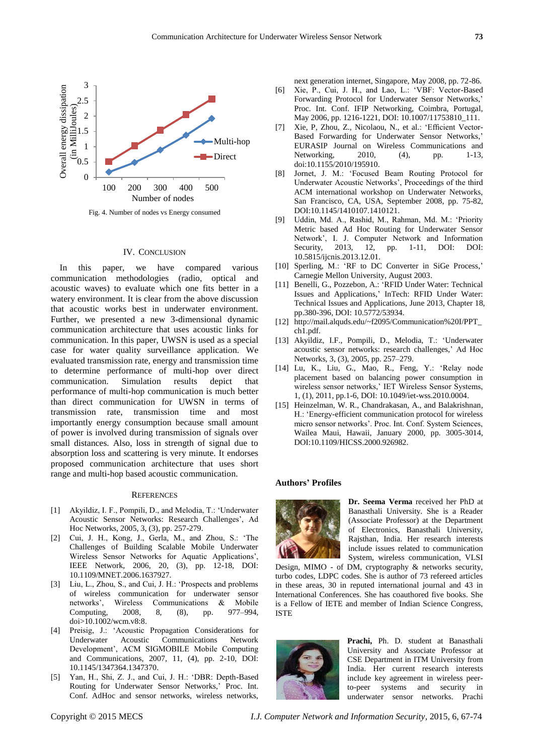

Fig. 4. Number of nodes vs Energy consumed

#### IV. CONCLUSION

In this paper, we have compared various communication methodologies (radio, optical and acoustic waves) to evaluate which one fits better in a watery environment. It is clear from the above discussion that acoustic works best in underwater environment. Further, we presented a new 3-dimensional dynamic communication architecture that uses acoustic links for communication. In this paper, UWSN is used as a special case for water quality surveillance application. We evaluated transmission rate, energy and transmission time to determine performance of multi-hop over direct communication. Simulation results depict that performance of multi-hop communication is much better than direct communication for UWSN in terms of transmission rate, transmission time and most importantly energy consumption because small amount of power is involved during transmission of signals over small distances. Also, loss in strength of signal due to absorption loss and scattering is very minute. It endorses proposed communication architecture that uses short range and multi-hop based acoustic communication.

#### **REFERENCES**

- [1] Akyildiz, I. F., Pompili, D., and Melodia, T.: 'Underwater Acoustic Sensor Networks: Research Challenges', Ad Hoc Networks, 2005, 3, (3), pp. 257-279.
- [2] Cui, J. H., Kong, J., Gerla, M., and Zhou, S.: 'The Challenges of Building Scalable Mobile Underwater Wireless Sensor Networks for Aquatic Applications', IEEE Network, 2006, 20, (3), pp. 12-18, DOI: 10.1109/MNET.2006.1637927.
- [3] Liu, L., Zhou, S., and Cui, J. H.: 'Prospects and problems of wireless communication for underwater sensor networks', Wireless Communications & Mobile Computing, 2008, 8, (8), pp. 977–994, doi>10.1002/wcm.v8:8.
- [4] Preisig, J.: 'Acoustic Propagation Considerations for Underwater Acoustic Communications Network Development', ACM SIGMOBILE Mobile Computing and Communications, 2007, 11, (4), pp. 2-10, DOI: 10.1145/1347364.1347370.
- [5] Yan, H., Shi, Z. J., and Cui, J. H.: 'DBR: Depth-Based Routing for Underwater Sensor Networks,' Proc. Int. Conf. AdHoc and sensor networks, wireless networks,

next generation internet, Singapore, May 2008, pp. 72-86.

- [6] Xie, P., Cui, J. H., and Lao, L.: 'VBF: Vector-Based Forwarding Protocol for Underwater Sensor Networks,' Proc. Int. Conf. IFIP Networking, Coimbra, Portugal, May 2006, pp. 1216-1221, DOI: 10.1007/11753810\_111.
- [7] Xie, P, Zhou, Z., Nicolaou, N., et al.: 'Efficient Vector-Based Forwarding for Underwater Sensor Networks,' EURASIP Journal on Wireless Communications and Networking, 2010, (4), pp. 1-13, doi:10.1155/2010/195910.
- [8] Jornet, J. M.: 'Focused Beam Routing Protocol for Underwater Acoustic Networks', Proceedings of the third ACM international workshop on Underwater Networks, San Francisco, CA, USA, September 2008, pp. 75-82, DOI:10.1145/1410107.1410121.
- [9] Uddin, Md. A., Rashid, M., Rahman, Md. M.: 'Priority Metric based Ad Hoc Routing for Underwater Sensor Network', I. J. Computer Network and Information Security, 2013, 12, pp. 1-11, DOI: DOI: 10.5815/ijcnis.2013.12.01.
- [10] Sperling, M.: 'RF to DC Converter in SiGe Process,' Carnegie Mellon University, August 2003.
- [11] Benelli, G., Pozzebon, A.: 'RFID Under Water: Technical Issues and Applications,' InTech: RFID Under Water: Technical Issues and Applications, June 2013, Chapter 18, pp.380-396, DOI: 10.5772/53934.
- [12] http://mail.alquds.edu/~f2095/Communication%20I/PPT\_ ch1.pdf.
- [13] Akyildiz, I.F., Pompili, D., Melodia, T.: 'Underwater acoustic sensor networks: research challenges,' Ad Hoc Networks, 3, (3), 2005, pp. 257–279.
- [14] Lu, K., Liu, G., Mao, R., Feng, Y.: 'Relay node placement based on balancing power consumption in wireless sensor networks,' IET Wireless Sensor Systems, 1, (1), 2011, pp.1-6, DOI: 10.1049/iet-wss.2010.0004.
- [15] Heinzelman, W. R., Chandrakasan, A., and Balakrishnan, H.: 'Energy-efficient communication protocol for wireless micro sensor networks'. Proc. Int. Conf. System Sciences, Wailea Maui, Hawaii, January 2000, pp. 3005-3014, DOI:10.1109/HICSS.2000.926982.

#### **Authors' Profiles**



**Dr. Seema Verma** received her PhD at Banasthali University. She is a Reader (Associate Professor) at the Department of Electronics, Banasthali University, Rajsthan, India. Her research interests include issues related to communication System, wireless communication, VLSI

Design, MIMO - of DM, cryptography & networks security, turbo codes, LDPC codes. She is author of 73 refereed articles in these areas, 30 in reputed international journal and 43 in International Conferences. She has coauthored five books. She is a Fellow of IETE and member of Indian Science Congress, ISTE



**Prachi,** Ph. D. student at Banasthali University and Associate Professor at CSE Department in ITM University from India. Her current research interests include key agreement in wireless peerto-peer systems and security in underwater sensor networks. Prachi